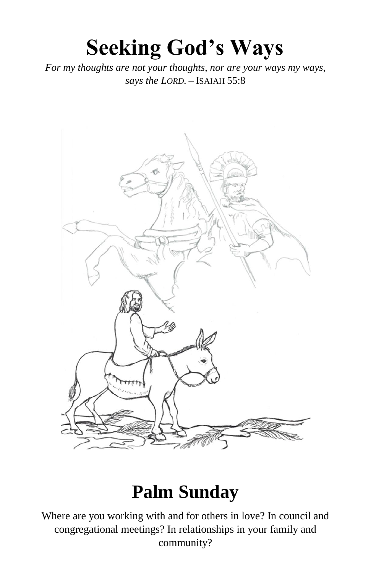# **Seeking God's Ways**

*For my thoughts are not your thoughts, nor are your ways my ways, says the LORD.* – ISAIAH 55:8



# **Palm Sunday**

Where are you working with and for others in love? In council and congregational meetings? In relationships in your family and community?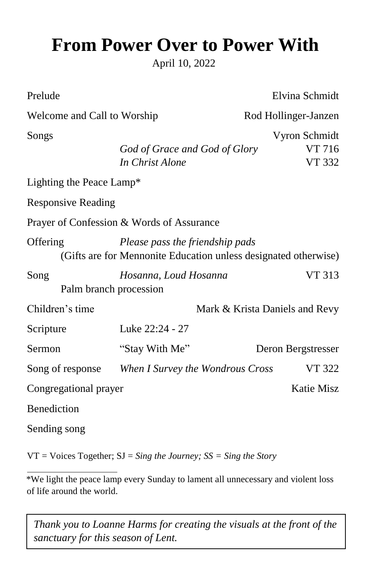# **From Power Over to Power With**

April 10, 2022

| Prelude                        |                                                                                                    | Elvina Schmidt                           |  |  |
|--------------------------------|----------------------------------------------------------------------------------------------------|------------------------------------------|--|--|
| Welcome and Call to Worship    |                                                                                                    | Rod Hollinger-Janzen                     |  |  |
| Songs                          | God of Grace and God of Glory<br>In Christ Alone                                                   | Vyron Schmidt<br>VT 716<br><b>VT 332</b> |  |  |
| Lighting the Peace Lamp*       |                                                                                                    |                                          |  |  |
| <b>Responsive Reading</b>      |                                                                                                    |                                          |  |  |
|                                | Prayer of Confession & Words of Assurance                                                          |                                          |  |  |
| Offering                       | Please pass the friendship pads<br>(Gifts are for Mennonite Education unless designated otherwise) |                                          |  |  |
| Song<br>Palm branch procession | Hosanna, Loud Hosanna                                                                              | VT 313                                   |  |  |
| Children's time                |                                                                                                    | Mark & Krista Daniels and Revy           |  |  |
| Scripture                      | Luke 22:24 - 27                                                                                    |                                          |  |  |
| Sermon                         | "Stay With Me"                                                                                     | Deron Bergstresser                       |  |  |
| Song of response               | When I Survey the Wondrous Cross                                                                   | <b>VT 322</b>                            |  |  |
| Congregational prayer          |                                                                                                    | <b>Katie Misz</b>                        |  |  |
| Benediction                    |                                                                                                    |                                          |  |  |
| Sending song                   |                                                                                                    |                                          |  |  |
|                                |                                                                                                    |                                          |  |  |

VT = Voices Together; SJ = *Sing the Journey; SS = Sing the Story* 

\*We light the peace lamp every Sunday to lament all unnecessary and violent loss of life around the world.

*Thank you to Loanne Harms for creating the visuals at the front of the sanctuary for this season of Lent.*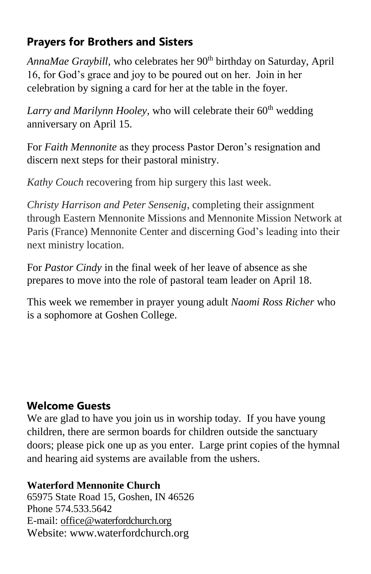## **Prayers for Brothers and Sisters**

*AnnaMae Graybill, who celebrates her 90<sup>th</sup> birthday on Saturday, April* 16, for God's grace and joy to be poured out on her. Join in her celebration by signing a card for her at the table in the foyer.

Larry and Marilynn Hooley, who will celebrate their 60<sup>th</sup> wedding anniversary on April 15.

For *Faith Mennonite* as they process Pastor Deron's resignation and discern next steps for their pastoral ministry.

*Kathy Couch* recovering from hip surgery this last week.

*Christy Harrison and Peter Sensenig*, completing their assignment through Eastern Mennonite Missions and Mennonite Mission Network at Paris (France) Mennonite Center and discerning God's leading into their next ministry location.

For *Pastor Cindy* in the final week of her leave of absence as she prepares to move into the role of pastoral team leader on April 18.

This week we remember in prayer young adult *Naomi Ross Richer* who is a sophomore at Goshen College.

# **Welcome Guests**

We are glad to have you join us in worship today. If you have young children, there are sermon boards for children outside the sanctuary doors; please pick one up as you enter. Large print copies of the hymnal and hearing aid systems are available from the ushers.

#### **Waterford Mennonite Church**

65975 State Road 15, Goshen, IN 46526 Phone 574.533.5642 E-mail: [office@waterfordchurch.org](mailto:office@waterfordchurch.org) Website: [www.waterfordchurch.org](http://www.waterfordchurch.org/)